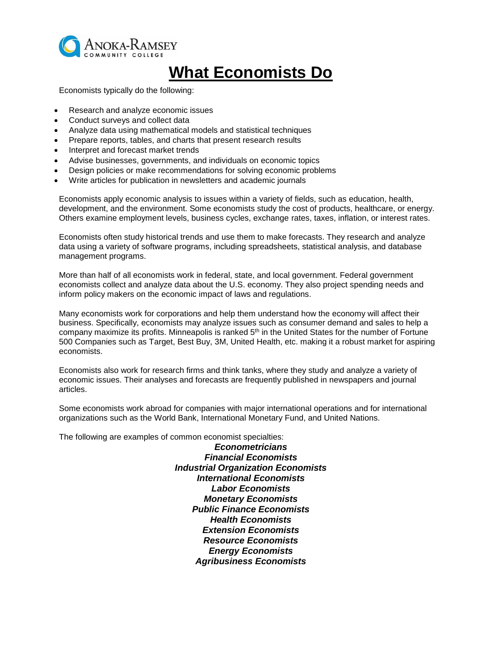

# **What Economists Do**

Economists typically do the following:

- Research and analyze economic issues
- Conduct surveys and collect data
- Analyze data using mathematical models and statistical techniques
- Prepare reports, tables, and charts that present research results
- Interpret and forecast market trends
- Advise businesses, governments, and individuals on economic topics
- Design policies or make recommendations for solving economic problems
- Write articles for publication in newsletters and academic journals

Economists apply economic analysis to issues within a variety of fields, such as education, health, development, and the environment. Some economists study the cost of products, healthcare, or energy. Others examine employment levels, business cycles, exchange rates, taxes, inflation, or interest rates.

Economists often study historical trends and use them to make forecasts. They research and analyze data using a variety of software programs, including spreadsheets, statistical analysis, and database management programs.

More than half of all economists work in federal, state, and local government. Federal government economists collect and analyze data about the U.S. economy. They also project spending needs and inform policy makers on the economic impact of laws and regulations.

Many economists work for corporations and help them understand how the economy will affect their business. Specifically, economists may analyze issues such as consumer demand and sales to help a company maximize its profits. Minneapolis is ranked 5th in the United States for the number of Fortune 500 Companies such as Target, Best Buy, 3M, United Health, etc. making it a robust market for aspiring economists.

Economists also work for research firms and think tanks, where they study and analyze a variety of economic issues. Their analyses and forecasts are frequently published in newspapers and journal articles.

Some economists work abroad for companies with major international operations and for international organizations such as the World Bank, International Monetary Fund, and United Nations.

The following are examples of common economist specialties:

*Econometricians Financial Economists Industrial Organization Economists International Economists Labor Economists Monetary Economists Public Finance Economists Health Economists Extension Economists Resource Economists Energy Economists Agribusiness Economists*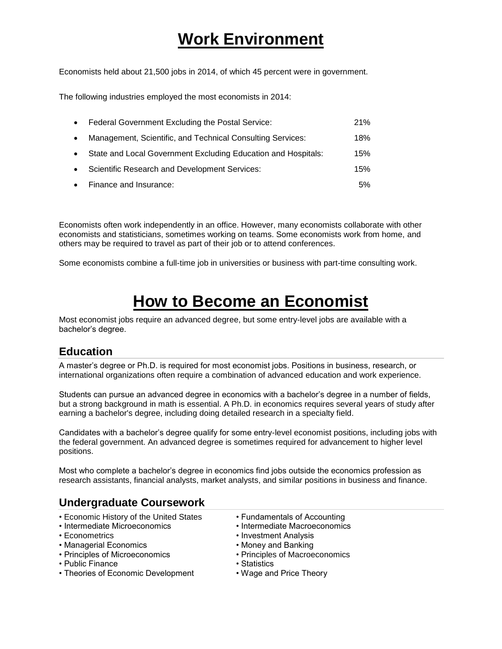# **Work Environment**

Economists held about 21,500 jobs in 2014, of which 45 percent were in government.

The following industries employed the most economists in 2014:

| $\bullet$ | Federal Government Excluding the Postal Service:              | 21% |
|-----------|---------------------------------------------------------------|-----|
| $\bullet$ | Management, Scientific, and Technical Consulting Services:    | 18% |
| $\bullet$ | State and Local Government Excluding Education and Hospitals: | 15% |
| $\bullet$ | <b>Scientific Research and Development Services:</b>          | 15% |
|           | • Finance and Insurance:                                      | 5%  |

Economists often work independently in an office. However, many economists collaborate with other economists and statisticians, sometimes working on teams. Some economists work from home, and others may be required to travel as part of their job or to attend conferences.

Some economists combine a full-time job in universities or business with part-time consulting work.

### **How to Become an Economist**

Most economist jobs require an advanced degree, but some entry-level jobs are available with a bachelor's degree.

### **Education**

A master's degree or Ph.D. is required for most economist jobs. Positions in business, research, or international organizations often require a combination of advanced education and work experience.

Students can pursue an advanced degree in economics with a bachelor's degree in a number of fields, but a strong background in math is essential. A Ph.D. in economics requires several years of study after earning a bachelor's degree, including doing detailed research in a specialty field.

Candidates with a bachelor's degree qualify for some entry-level economist positions, including jobs with the federal government. An advanced degree is sometimes required for advancement to higher level positions.

Most who complete a bachelor's degree in economics find jobs outside the economics profession as research assistants, financial analysts, market analysts, and similar positions in business and finance.

### **Undergraduate Coursework**

- Economic History of the United States Fundamentals of Accounting
- Intermediate Microeconomics Intermediate Macroeconomics
- 
- Managerial Economics Money and Banking
- Principles of Microeconomics Principles of Macroeconomics
- Public Finance Statistics
- Theories of Economic Development Wage and Price Theory
- 
- 
- Econometrics  **Investment Analysis** 
	-
	-
	-
	-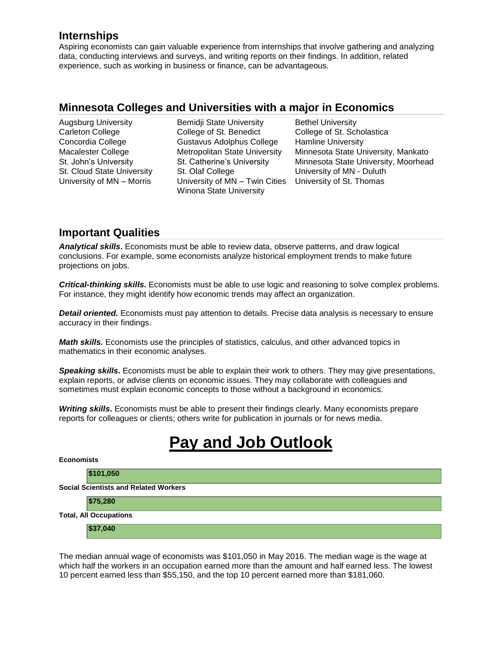### **Internships**

Aspiring economists can gain valuable experience from internships that involve gathering and analyzing data, conducting interviews and surveys, and writing reports on their findings. In addition, related experience, such as working in business or finance, can be advantageous.

#### **Minnesota Colleges and Universities with a major in Economics**

Augsburg University Bemidji State University Bethel University Carleton College College of St. Benedict College of St. Scholastica Concordia College Gustavus Adolphus College Hamline University St. Cloud State University St. Olaf College **University of MN** - Duluth University of MN – Morris University of MN – Twin Cities University of St. Thomas Winona State University

Macalester College Metropolitan State University Minnesota State University, Mankato St. John's University St. Catherine's University Minnesota State University, Moorhead

### **Important Qualities**

*Analytical skills***.** Economists must be able to review data, observe patterns, and draw logical conclusions. For example, some economists analyze historical employment trends to make future projections on jobs.

*Critical-thinking skills***.** Economists must be able to use logic and reasoning to solve complex problems. For instance, they might identify how economic trends may affect an organization.

*Detail oriented.* Economists must pay attention to details. Precise data analysis is necessary to ensure accuracy in their findings.

*Math skills.* Economists use the principles of statistics, calculus, and other advanced topics in mathematics in their economic analyses.

*Speaking skills***.** Economists must be able to explain their work to others. They may give presentations, explain reports, or advise clients on economic issues. They may collaborate with colleagues and sometimes must explain economic concepts to those without a background in economics.

*Writing skills***.** Economists must be able to present their findings clearly. Many economists prepare reports for colleagues or clients; others write for publication in journals or for news media.

## **Pay and Job Outlook**

| <b>Economists</b>                            |           |  |  |  |
|----------------------------------------------|-----------|--|--|--|
|                                              | \$101,050 |  |  |  |
| <b>Social Scientists and Related Workers</b> |           |  |  |  |
|                                              | \$75,280  |  |  |  |
| <b>Total, All Occupations</b>                |           |  |  |  |
|                                              | \$37,040  |  |  |  |

The median annual wage of economists was \$101,050 in May 2016. The median wage is the wage at which half the workers in an occupation earned more than the amount and half earned less. The lowest 10 percent earned less than \$55,150, and the top 10 percent earned more than \$181,060.